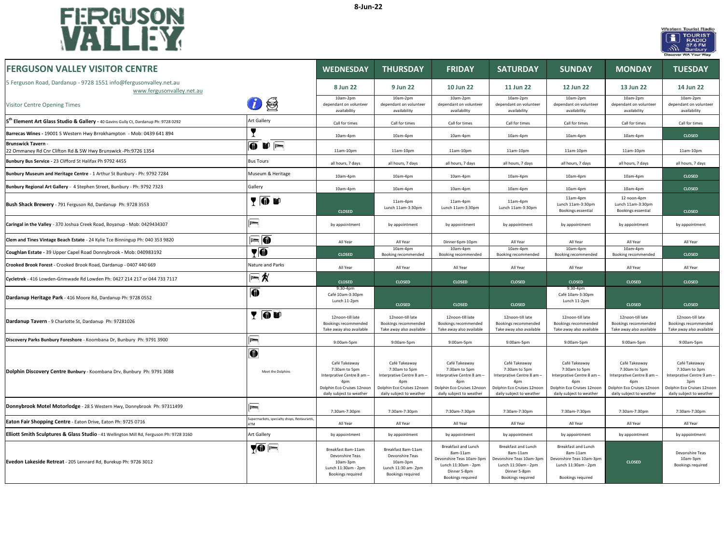



| FERGUSON VALLEY VISITOR CENTRE                                                                |                                                         | <b>WEDNESDAY</b>                                                                                                              | <b>THURSDAY</b>                                                                                                               | <b>FRIDAY</b>                                                                                                                             | <b>SATURDAY</b>                                                                                                               | <b>SUNDAY</b>                                                                                                                             | <b>MONDAY</b>                                                                                                                 | <b>TUESDAY</b>                                                                                                                           |
|-----------------------------------------------------------------------------------------------|---------------------------------------------------------|-------------------------------------------------------------------------------------------------------------------------------|-------------------------------------------------------------------------------------------------------------------------------|-------------------------------------------------------------------------------------------------------------------------------------------|-------------------------------------------------------------------------------------------------------------------------------|-------------------------------------------------------------------------------------------------------------------------------------------|-------------------------------------------------------------------------------------------------------------------------------|------------------------------------------------------------------------------------------------------------------------------------------|
| 5 Ferguson Road, Dardanup - 9728 1551 info@fergusonvalley.net.au<br>www.fergusonvalley.net.au |                                                         | 8 Jun 22                                                                                                                      | 9 Jun 22                                                                                                                      | 10 Jun 22                                                                                                                                 | 11 Jun 22                                                                                                                     | 12 Jun 22                                                                                                                                 | 13 Jun 22                                                                                                                     | 14 Jun 22                                                                                                                                |
| Visitor Centre Opening Times                                                                  | $\mathbf{U}$ ,                                          | 10am-2pm<br>dependant on volunteer<br>availability                                                                            | 10am-2pm<br>dependant on volunteer<br>availability                                                                            | 10am-2pm<br>dependant on volunteer<br>availability                                                                                        | 10am-2pm<br>dependant on volunteer<br>availability                                                                            | 10am-2pm<br>dependant on volunteer<br>availability                                                                                        | 10am-2pm<br>dependant on volunteer<br>availability                                                                            | 10am-2pm<br>dependant on volunteer<br>availability                                                                                       |
| 5" Element Art Glass Studio & Gallery - 40 Gavins Gully Ct, Dardanup Ph: 9728 0292            | Art Gallery                                             | Call for times                                                                                                                | Call for times                                                                                                                | Call for times                                                                                                                            | Call for times                                                                                                                | Call for times                                                                                                                            | Call for times                                                                                                                | Call for times                                                                                                                           |
| Barrecas Wines - 19001 S Western Hwy Brrokhampton - Mob: 0439 641 894                         |                                                         | 10am-4pm                                                                                                                      | 10am-4pm                                                                                                                      | $10am-4nm$                                                                                                                                | 10am-4pm                                                                                                                      | 10am-4pm                                                                                                                                  | 10am-4pm                                                                                                                      | <b>CLOSED</b>                                                                                                                            |
| Brunswick Tavern -<br>22 Ommaney Rd Cnr Clifton Rd & SW Hwy Brunswick -Ph:9726 1354           | 0 D =                                                   | 11am-10pm                                                                                                                     | 11am-10pm                                                                                                                     | 11am-10pm                                                                                                                                 | 11am-10pm                                                                                                                     | 11am-10pm                                                                                                                                 | 11am-10pm                                                                                                                     | $11am-10pm$                                                                                                                              |
| Bunbury Bus Service - 23 Clifford St Halifax Ph 9792 4455                                     | <b>Bus Tours</b>                                        | all hours, 7 days                                                                                                             | all hours, 7 days                                                                                                             | all hours, 7 days                                                                                                                         | all hours, 7 days                                                                                                             | all hours, 7 days                                                                                                                         | all hours, 7 days                                                                                                             | all hours, 7 days                                                                                                                        |
| Bunbury Museum and Heritage Centre - 1 Arthur St Bunbury - Ph: 9792 7284                      | Museum & Heritage                                       | 10am-4pm                                                                                                                      | 10am-4pm                                                                                                                      | 10am-4pm                                                                                                                                  | 10am-4pm                                                                                                                      | 10am-4pm                                                                                                                                  | 10am-4pm                                                                                                                      | <b>CLOSED</b>                                                                                                                            |
| Bunbury Regional Art Gallery - 4 Stephen Street, Bunbury - Ph: 9792 7323                      | Gallery                                                 | 10am-4pm                                                                                                                      | 10am-4pm                                                                                                                      | 10am-4pm                                                                                                                                  | 10am-4pm                                                                                                                      | 10am-4pm                                                                                                                                  | 10am-4pm                                                                                                                      | <b>CLOSED</b>                                                                                                                            |
| Bush Shack Brewery - 791 Ferguson Rd, Dardanup Ph: 9728 3553                                  | <b>TOD</b>                                              | <b>CLOSED</b>                                                                                                                 | 11am-4pm<br>Lunch 11am-3:30pm                                                                                                 | 11am-4pm<br>Lunch 11am-3:30pm                                                                                                             | 11am-4pm<br>Lunch 11am-3:30pm                                                                                                 | 11am-4pm<br>Lunch 11am-3:30pm<br>Bookings essential                                                                                       | 12 noon-4pm<br>Lunch 11am-3:30pm<br>Bookings essential                                                                        | <b>CLOSED</b>                                                                                                                            |
| Caringal in the Valley - 370 Joshua Creek Road, Boyanup - Mob: 0429434307                     | $=$                                                     | by appointment                                                                                                                | by appointment                                                                                                                | by appointment                                                                                                                            | by appointment                                                                                                                | by appointment                                                                                                                            | by appointment                                                                                                                | by appointment                                                                                                                           |
| Clem and Tines Vintage Beach Estate - 24 Kylie Tce Binningup Ph: 040 353 9820                 | $= 0$                                                   | All Year                                                                                                                      | All Year                                                                                                                      | Dinner 6pm-10pm                                                                                                                           | All Year                                                                                                                      | All Year                                                                                                                                  | All Year                                                                                                                      | All Year                                                                                                                                 |
| Coughlan Estate - 39 Upper Capel Road Donnybrook - Mob: 040983192                             | $\P\Phi$                                                | <b>CLOSED</b>                                                                                                                 | 10am-4pm<br>Booking recommended                                                                                               | 10am-4pm<br>Booking recommended                                                                                                           | 10am-4pm<br>Booking recommended                                                                                               | 10am-4pm<br>Booking recommended                                                                                                           | 10am-4pm<br>Booking recommended                                                                                               | <b>CLOSED</b>                                                                                                                            |
| Crooked Brook Forest - Crooked Brook Road, Dardanup - 0407 440 669                            | Nature and Parks                                        | All Year                                                                                                                      | All Year                                                                                                                      | All Year                                                                                                                                  | All Year                                                                                                                      | All Year                                                                                                                                  | All Year                                                                                                                      | All Year                                                                                                                                 |
| Cycletrek - 416 Lowden-Grimwade Rd Lowden Ph: 0427 214 217 or 044 733 7117                    | $= 1/2$                                                 | <b>CLOSED</b>                                                                                                                 | <b>CLOSED</b>                                                                                                                 | <b>CLOSED</b>                                                                                                                             | <b>CLOSED</b>                                                                                                                 | <b>CLOSED</b>                                                                                                                             | <b>CLOSED</b>                                                                                                                 | <b>CLOSED</b>                                                                                                                            |
| Dardanup Heritage Park - 416 Moore Rd, Dardanup Ph: 9728 0552                                 | $\overline{\mathbf{0}}$                                 | 9:30-4pm<br>Café 10am-3:30pm<br>Lunch 11-2pm                                                                                  | <b>CLOSED</b>                                                                                                                 | <b>CLOSED</b>                                                                                                                             | <b>CLOSED</b>                                                                                                                 | $9:30-4pm$<br>Café 10am-3:30pm<br>Lunch 11-2pm                                                                                            | <b>CLOSED</b>                                                                                                                 | <b>CLOSED</b>                                                                                                                            |
| Dardanup Tavern - 9 Charlotte St, Dardanup Ph: 97281026                                       | YOU                                                     | 12noon-till late<br>Bookings recommended<br>Take away also available                                                          | 12noon-till late<br>Bookings recommended<br>Take away also available                                                          | 12noon-till late<br>Bookings recommended<br>Take away also available                                                                      | 12noon-till late<br>Bookings recommended<br>Take away also available                                                          | 12noon-till late<br>Bookings recommended<br>Take away also available                                                                      | 12noon-till late<br>Bookings recommended<br>Take away also available                                                          | 12noon-till late<br>Bookings recommended<br>Take away also available                                                                     |
| Discovery Parks Bunbury Foreshore - Koombana Dr, Bunbury Ph: 9791 3900                        | $=$                                                     | 9:00am-5pm                                                                                                                    | 9:00am-5pm                                                                                                                    | 9:00am-5pm                                                                                                                                | 9:00am-5pm                                                                                                                    | 9:00am-5pm                                                                                                                                | 9:00am-5pm                                                                                                                    | 9:00am-5pm                                                                                                                               |
| Dolphin Discovery Centre Bunbury - Koombana Drv, Bunbury Ph: 9791 3088                        | $\bf \Phi$<br>Meet the Dolphins                         | Café Takeaway<br>7:30am to 5pm<br>Interprative Centre 8 am -<br>4pm<br>Dolphin Eco Cruises 12noon<br>daily subject to weather | Café Takeawav<br>7:30am to 5pm<br>Interprative Centre 8 am -<br>4pm<br>Dolphin Eco Cruises 12noor<br>daily subject to weather | Café Takeaway<br>7:30am to 5pm<br>Interprative Centre 8 am -<br>4 <sub>nm</sub><br>Dolphin Eco Cruises 12noon<br>daily subject to weather | Café Takeaway<br>7:30am to 5pm<br>Interprative Centre 8 am -<br>4pm<br>Dolphin Eco Cruises 12noon<br>daily subject to weather | Café Takeaway<br>7:30am to 5pm<br>Interprative Centre 8 am -<br>4 <sub>nm</sub><br>Dolphin Eco Cruises 12noon<br>daily subject to weather | Café Takeaway<br>7:30am to 5pm<br>Interprative Centre 8 am -<br>4pm<br>Dolphin Eco Cruises 12noon<br>daily subject to weather | Café Takeaway<br>7:30am to 3pm<br>Interprative Centre 9 am -<br>3 <sub>0</sub><br>Dolphin Eco Cruises 12noon<br>daily subject to weather |
| Donnybrook Motel Motorlodge - 28 S Western Hwy, Donnybrook Ph: 97311499                       | $=$                                                     | 7:30am-7:30pm                                                                                                                 | 7:30am-7:30pm                                                                                                                 | 7:30am-7:30pm                                                                                                                             | 7:30am-7:30pm                                                                                                                 | 7:30am-7:30pm                                                                                                                             | 7:30am-7:30pm                                                                                                                 | 7:30am-7:30pm                                                                                                                            |
| Eaton Fair Shopping Centre - Eaton Drive, Eaton Ph: 9725 0716                                 | upermarkets, specialty shops, Restaurants,<br><b>TM</b> | All Year                                                                                                                      | All Year                                                                                                                      | All Year                                                                                                                                  | All Year                                                                                                                      | All Year                                                                                                                                  | All Year                                                                                                                      | All Year                                                                                                                                 |
| Elliott Smith Sculptures & Glass Studio - 41 Wellington Mill Rd, Ferguson Ph: 9728 3160       | <b>Art Gallery</b>                                      | by appointment                                                                                                                | by appointment                                                                                                                | by appointment                                                                                                                            | by appointment                                                                                                                | by appointment                                                                                                                            | by appointment                                                                                                                | by appointment                                                                                                                           |
| Evedon Lakeside Retreat - 205 Lennard Rd, Burekup Ph: 9726 3012                               | $\nabla \Phi$                                           | Breakfast 8am-11am<br>Devonshire Teas<br>10am-3pm<br>Lunch 11:30am - 2pm<br><b>Bookings required</b>                          | Breakfast 8am-11am<br>Devonshire Teas<br>10am-3pm<br>Lunch 11:30 am- 2pm<br>Bookings required                                 | Breakfast and Lunch<br>8am-11am<br>Devonshire Teas 10am-3pm<br>Lunch 11:30am - 2pm<br>Dinner 5-8pm<br>Bookings required                   | Breakfast and Lunch<br>8am-11am<br>Devonshire Teas 10am-3pm<br>Lunch 11:30am - 2pm<br>Dinner 5-8pm<br>Bookings required       | <b>Breakfast and Lunch</b><br>8am-11am<br>Devonshire Teas 10am-3pm<br>Lunch 11:30am - 2pm<br>Bookings required                            | <b>CLOSED</b>                                                                                                                 | Devonshire Teas<br>10am-3pm<br>Bookings required                                                                                         |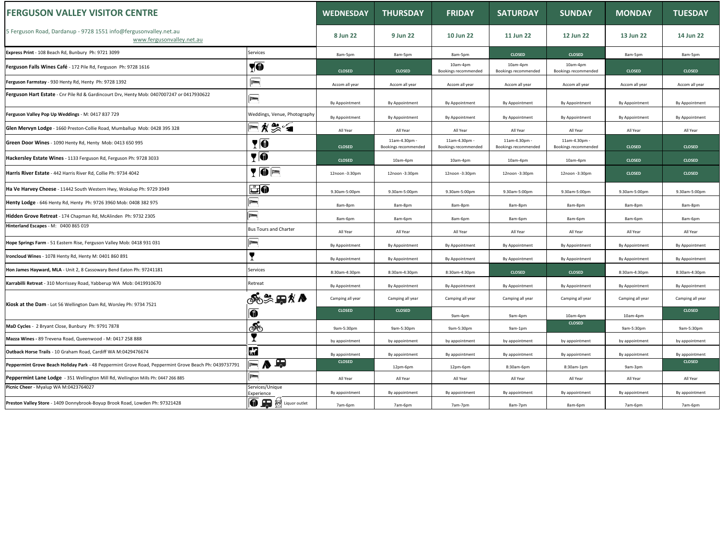| <b>FERGUSON VALLEY VISITOR CENTRE</b>                                                                 |                                        | <b>WEDNESDAY</b> | <b>THURSDAY</b>                       | <b>FRIDAY</b>                         | <b>SATURDAY</b>                       | <b>SUNDAY</b>                         | <b>MONDAY</b>    | <b>TUESDAY</b>   |
|-------------------------------------------------------------------------------------------------------|----------------------------------------|------------------|---------------------------------------|---------------------------------------|---------------------------------------|---------------------------------------|------------------|------------------|
| 5 Ferguson Road, Dardanup - 9728 1551 info@fergusonvalley.net.au<br>www.fergusonvalley.net.au         |                                        | 8 Jun 22         | 9 Jun 22                              | 10 Jun 22                             | 11 Jun 22                             | 12 Jun 22                             | 13 Jun 22        | 14 Jun 22        |
| Express Print - 108 Beach Rd, Bunbury Ph: 9721 3099                                                   | Services                               | 8am-5pm          | 8am-5pm                               | 8am-5pm                               | <b>CLOSED</b>                         | <b>CLOSED</b>                         | 8am-5pm          | 8am-5pm          |
| Ferguson Falls Wines Café - 172 Pile Rd, Ferguson Ph: 9728 1616                                       | YO                                     | <b>CLOSED</b>    | <b>CLOSED</b>                         | 10am-4pm<br>Bookings recommended      | 10am-4pm<br>Bookings recommended      | 10am-4pm<br>Bookings recommended      | <b>CLOSED</b>    | <b>CLOSED</b>    |
| Ferguson Farmstay - 930 Henty Rd, Henty Ph: 9728 1392                                                 | $\equiv$                               | Accom all year   | Accom all year                        | Accom all year                        | Accom all year                        | Accom all year                        | Accom all year   | Accom all year   |
| Ferguson Hart Estate - Cnr Pile Rd & Gardincourt Drv, Henty Mob: 0407007247 or 0417930622             | $=$                                    | By Appointment   | By Appointment                        | By Appointment                        | By Appointment                        | By Appointment                        | By Appointment   | By Appointment   |
| Ferguson Valley Pop Up Weddings - M: 0417 837 729                                                     | Weddings, Venue, Photography           | By Appointment   | By Appointment                        | By Appointment                        | By Appointment                        | By Appointment                        | By Appointment   | By Appointment   |
| Glen Mervyn Lodge - 1660 Preston-Collie Road, Mumballup Mob: 0428 395 328                             | F∦‰∕∎                                  | All Year         | All Year                              | All Year                              | All Year                              | All Year                              | All Year         | All Year         |
| Green Door Wines - 1090 Henty Rd, Henty Mob: 0413 650 995                                             | <b>TO</b>                              | <b>CLOSED</b>    | 11am-4.30pm -<br>Bookings recommended | 11am-4.30pm -<br>Bookings recommended | 11am-4.30pm -<br>Bookings recommended | 11am-4.30pm -<br>Bookings recommended | <b>CLOSED</b>    | <b>CLOSED</b>    |
| Hackersley Estate Wines - 1133 Ferguson Rd, Ferguson Ph: 9728 3033                                    | <b>YO</b>                              | <b>CLOSED</b>    | 10am-4pm                              | 10am-4pm                              | 10am-4pm                              | 10am-4pm                              | <b>CLOSED</b>    | <b>CLOSED</b>    |
| Harris River Estate - 442 Harris River Rd, Collie Ph: 9734 4042                                       | $\P\overline{\mathbf{0}}$ $\mathbf{F}$ | 12noon -3:30pm   | 12noon -3:30pm                        | 12noon -3:30pm                        | 12noon -3:30pm                        | 12noon -3:30pm                        | <b>CLOSED</b>    | <b>CLOSED</b>    |
| Ha Ve Harvey Cheese - 11442 South Western Hwy, Wokalup Ph: 9729 3949                                  | <u>SO</u>                              | 9.30am-5:00pm    | 9.30am-5:00pm                         | 9.30am-5:00pm                         | 9.30am-5:00pm                         | 9.30am-5:00pm                         | 9.30am-5:00pm    | 9.30am-5:00pm    |
| Henty Lodge - 646 Henty Rd, Henty Ph: 9726 3960 Mob: 0408 382 975                                     | $=$                                    | 8am-8pm          | 8am-8pm                               | 8am-8pm                               | 8am-8pm                               | 8am-8pm                               | 8am-8pm          | 8am-8pm          |
| Hidden Grove Retreat - 174 Chapman Rd, McAlinden Ph: 9732 2305                                        | <u>im</u>                              | 8am-6pm          | 8am-6pm                               | 8am-6pm                               | 8am-6pm                               | 8am-6pm                               | 8am-6pm          | 8am-6pm          |
| Hinterland Escapes - M: 0400 865 019                                                                  | <b>Bus Tours and Charter</b>           | All Year         | All Year                              | All Year                              | All Year                              | All Year                              | All Year         | All Year         |
| Hope Springs Farm - 51 Eastern Rise, Ferguson Valley Mob: 0418 931 031                                | $\equiv$                               | By Appointment   | By Appointment                        | By Appointment                        | By Appointment                        | By Appointment                        | By Appointment   | By Appointment   |
| Ironcloud Wines - 1078 Henty Rd, Henty M: 0401 860 891                                                | $\blacksquare$                         | By Appointment   | By Appointment                        | By Appointment                        | By Appointment                        | By Appointment                        | By Appointment   | By Appointment   |
| Hon James Hayward, MLA - Unit 2, 8 Cassowary Bend Eaton Ph: 97241181                                  | Services                               | 8:30am-4:30pm    | 8:30am-4:30pm                         | 8:30am-4:30pm                         | <b>CLOSED</b>                         | <b>CLOSED</b>                         | 8:30am-4:30pm    | 8:30am-4:30pm    |
| Karrabilli Retreat - 310 Morrissey Road, Yabberup WA Mob: 0419910670                                  | Retreat                                | By Appointment   | By Appointment                        | By Appointment                        | By Appointment                        | By Appointment                        | By Appointment   | By Appointment   |
| Kiosk at the Dam - Lot 56 Wellington Dam Rd, Worsley Ph: 9734 7521                                    | ைக்கா்∧                                | Camping all year | Camping all year                      | Camping all year                      | Camping all year                      | Camping all year                      | Camping all year | Camping all year |
|                                                                                                       | O                                      | <b>CLOSED</b>    | <b>CLOSED</b>                         | 9am-4pm                               | 9am-4pm                               | 10am-4pm                              | 10am-4pm         | <b>CLOSED</b>    |
| MaD Cycles - 2 Bryant Close, Bunbury Ph: 9791 7878                                                    | ණ්                                     | 9am-5:30pm       | 9am-5:30pm                            | 9am-5:30pm                            | 9am-1pm                               | <b>CLOSED</b>                         | 9am-5:30pm       | 9am-5:30pm       |
| Mazza Wines - 89 Trevena Road, Queenwood - M: 0417 258 888                                            | T                                      | by appointment   | by appointment                        | by appointment                        | by appointment                        | by appointment                        | by appointment   | by appointment   |
| Outback Horse Trails - 10 Graham Road, Cardiff WA M:0429476674                                        | <b>H</b>                               | By appointment   | By appointment                        | By appointment                        | By appointment                        | By appointment                        | By appointment   | By appointmen    |
| Peppermint Grove Beach Holiday Park - 48 Peppermint Grove Road, Peppermint Grove Beach Ph: 0439737791 | ▄ <mark>▗</mark> ▗                     | <b>CLOSED</b>    | 12pm-6pm                              | 12pm-6pm                              | 8:30am-6pm                            | 8:30am-1pm                            | 9am-3pm          | <b>CLOSED</b>    |
| Peppermint Lane Lodge - 351 Wellington Mill Rd, Wellington Mills Ph: 0447 266 885                     | $=$                                    | All Year         | All Year                              | All Year                              | All Year                              | All Year                              | All Year         | All Year         |
| Picnic Cheer - Myalup WA M:0423764027                                                                 | Services/Unique<br>Experience          | By appointment   | By appointment                        | By appointment                        | By appointment                        | By appointment                        | By appointment   | By appointmen    |
| Preston Valley Store - 1409 Donnybrook-Boyup Brook Road, Lowden Ph: 97321428                          | <b>TE</b> Suiquor outlet               | 7am-6pm          | 7am-6pm                               | 7am-7pm                               | 8am-7pm                               | 8am-6pm                               | 7am-6pm          | 7am-6pm          |